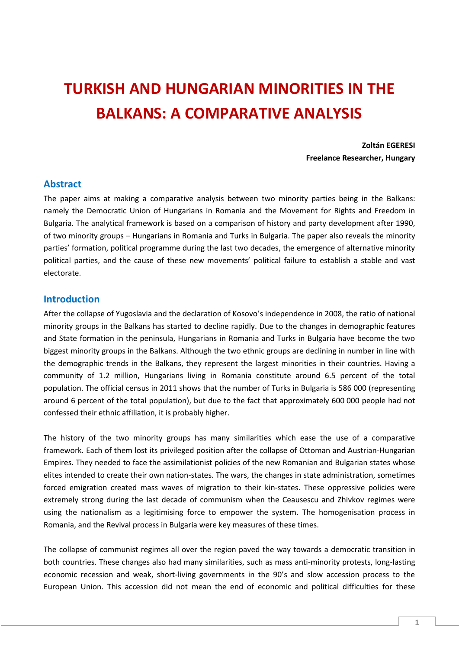# **TURKISH AND HUNGARIAN MINORITIES IN THE BALKANS: A COMPARATIVE ANALYSIS**

**Zoltán EGERESI Freelance Researcher, Hungary**

#### **Abstract**

The paper aims at making a comparative analysis between two minority parties being in the Balkans: namely the Democratic Union of Hungarians in Romania and the Movement for Rights and Freedom in Bulgaria. The analytical framework is based on a comparison of history and party development after 1990, of two minority groups – Hungarians in Romania and Turks in Bulgaria. The paper also reveals the minority parties' formation, political programme during the last two decades, the emergence of alternative minority political parties, and the cause of these new movements' political failure to establish a stable and vast electorate.

#### **Introduction**

After the collapse of Yugoslavia and the declaration of Kosovo's independence in 2008, the ratio of national minority groups in the Balkans has started to decline rapidly. Due to the changes in demographic features and State formation in the peninsula, Hungarians in Romania and Turks in Bulgaria have become the two biggest minority groups in the Balkans. Although the two ethnic groups are declining in number in line with the demographic trends in the Balkans, they represent the largest minorities in their countries. Having a community of 1.2 million, Hungarians living in Romania constitute around 6.5 percent of the total population. The official census in 2011 shows that the number of Turks in Bulgaria is 586 000 (representing around 6 percent of the total population), but due to the fact that approximately 600 000 people had not confessed their ethnic affiliation, it is probably higher.

The history of the two minority groups has many similarities which ease the use of a comparative framework. Each of them lost its privileged position after the collapse of Ottoman and Austrian-Hungarian Empires. They needed to face the assimilationist policies of the new Romanian and Bulgarian states whose elites intended to create their own nation-states. The wars, the changes in state administration, sometimes forced emigration created mass waves of migration to their kin-states. These oppressive policies were extremely strong during the last decade of communism when the Ceausescu and Zhivkov regimes were using the nationalism as a legitimising force to empower the system. The homogenisation process in Romania, and the Revival process in Bulgaria were key measures of these times.

The collapse of communist regimes all over the region paved the way towards a democratic transition in both countries. These changes also had many similarities, such as mass anti-minority protests, long-lasting economic recession and weak, short-living governments in the 90's and slow accession process to the European Union. This accession did not mean the end of economic and political difficulties for these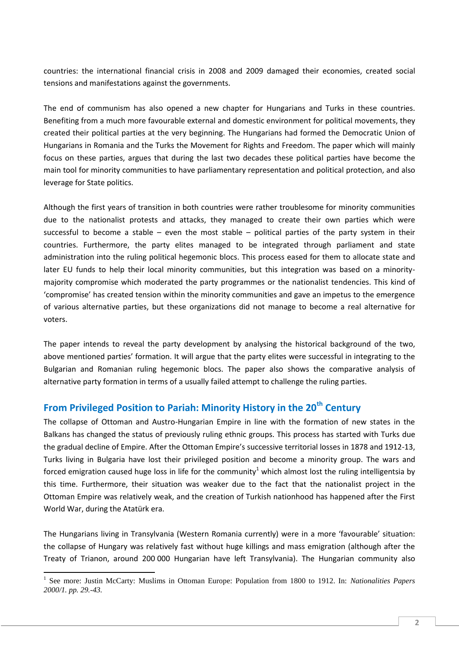countries: the international financial crisis in 2008 and 2009 damaged their economies, created social tensions and manifestations against the governments.

The end of communism has also opened a new chapter for Hungarians and Turks in these countries. Benefiting from a much more favourable external and domestic environment for political movements, they created their political parties at the very beginning. The Hungarians had formed the Democratic Union of Hungarians in Romania and the Turks the Movement for Rights and Freedom. The paper which will mainly focus on these parties, argues that during the last two decades these political parties have become the main tool for minority communities to have parliamentary representation and political protection, and also leverage for State politics.

Although the first years of transition in both countries were rather troublesome for minority communities due to the nationalist protests and attacks, they managed to create their own parties which were successful to become a stable – even the most stable – political parties of the party system in their countries. Furthermore, the party elites managed to be integrated through parliament and state administration into the ruling political hegemonic blocs. This process eased for them to allocate state and later EU funds to help their local minority communities, but this integration was based on a minoritymajority compromise which moderated the party programmes or the nationalist tendencies. This kind of 'compromise' has created tension within the minority communities and gave an impetus to the emergence of various alternative parties, but these organizations did not manage to become a real alternative for voters.

The paper intends to reveal the party development by analysing the historical background of the two, above mentioned parties' formation. It will argue that the party elites were successful in integrating to the Bulgarian and Romanian ruling hegemonic blocs. The paper also shows the comparative analysis of alternative party formation in terms of a usually failed attempt to challenge the ruling parties.

# **From Privileged Position to Pariah: Minority History in the 20th Century**

The collapse of Ottoman and Austro-Hungarian Empire in line with the formation of new states in the Balkans has changed the status of previously ruling ethnic groups. This process has started with Turks due the gradual decline of Empire. After the Ottoman Empire's successive territorial losses in 1878 and 1912-13, Turks living in Bulgaria have lost their privileged position and become a minority group. The wars and forced emigration caused huge loss in life for the community<sup>1</sup> which almost lost the ruling intelligentsia by this time. Furthermore, their situation was weaker due to the fact that the nationalist project in the Ottoman Empire was relatively weak, and the creation of Turkish nationhood has happened after the First World War, during the Atatürk era.

The Hungarians living in Transylvania (Western Romania currently) were in a more 'favourable' situation: the collapse of Hungary was relatively fast without huge killings and mass emigration (although after the Treaty of Trianon, around 200 000 Hungarian have left Transylvania). The Hungarian community also

<sup>&</sup>lt;sup>1</sup> See more: Justin McCarty: Muslims in Ottoman Europe: Population from 1800 to 1912. In: *Nationalities Papers 2000/1. pp. 29.-43.*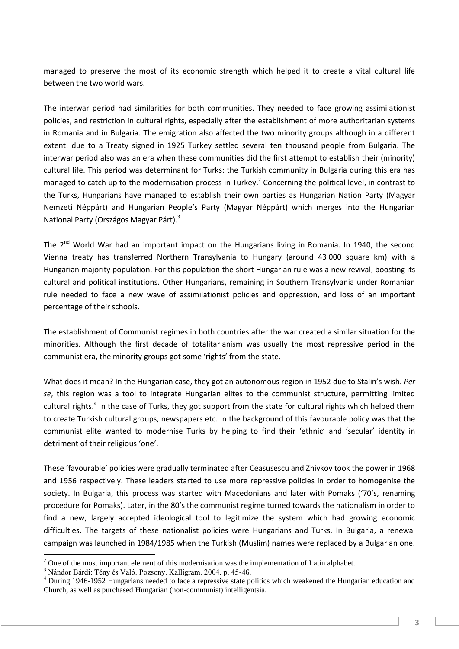managed to preserve the most of its economic strength which helped it to create a vital cultural life between the two world wars.

The interwar period had similarities for both communities. They needed to face growing assimilationist policies, and restriction in cultural rights, especially after the establishment of more authoritarian systems in Romania and in Bulgaria. The emigration also affected the two minority groups although in a different extent: due to a Treaty signed in 1925 Turkey settled several ten thousand people from Bulgaria. The interwar period also was an era when these communities did the first attempt to establish their (minority) cultural life. This period was determinant for Turks: the Turkish community in Bulgaria during this era has managed to catch up to the modernisation process in Turkey.<sup>2</sup> Concerning the political level, in contrast to the Turks, Hungarians have managed to establish their own parties as Hungarian Nation Party (Magyar Nemzeti Néppárt) and Hungarian People's Party (Magyar Néppárt) which merges into the Hungarian National Party (Országos Magyar Párt).<sup>3</sup>

The  $2^{nd}$  World War had an important impact on the Hungarians living in Romania. In 1940, the second Vienna treaty has transferred Northern Transylvania to Hungary (around 43 000 square km) with a Hungarian majority population. For this population the short Hungarian rule was a new revival, boosting its cultural and political institutions. Other Hungarians, remaining in Southern Transylvania under Romanian rule needed to face a new wave of assimilationist policies and oppression, and loss of an important percentage of their schools.

The establishment of Communist regimes in both countries after the war created a similar situation for the minorities. Although the first decade of totalitarianism was usually the most repressive period in the communist era, the minority groups got some 'rights' from the state.

What does it mean? In the Hungarian case, they got an autonomous region in 1952 due to Stalin's wish. *Per se*, this region was a tool to integrate Hungarian elites to the communist structure, permitting limited cultural rights.<sup>4</sup> In the case of Turks, they got support from the state for cultural rights which helped them to create Turkish cultural groups, newspapers etc. In the background of this favourable policy was that the communist elite wanted to modernise Turks by helping to find their 'ethnic' and 'secular' identity in detriment of their religious 'one'.

These 'favourable' policies were gradually terminated after Ceasusescu and Zhivkov took the power in 1968 and 1956 respectively. These leaders started to use more repressive policies in order to homogenise the society. In Bulgaria, this process was started with Macedonians and later with Pomaks ('70's, renaming procedure for Pomaks). Later, in the 80's the communist regime turned towards the nationalism in order to find a new, largely accepted ideological tool to legitimize the system which had growing economic difficulties. The targets of these nationalist policies were Hungarians and Turks. In Bulgaria, a renewal campaign was launched in 1984/1985 when the Turkish (Muslim) names were replaced by a Bulgarian one.

 $2^2$  One of the most important element of this modernisation was the implementation of Latin alphabet.

<sup>3</sup> Nándor Bárdi: Tény és Való. Pozsony. Kalligram. 2004. p. 45-46.

<sup>4</sup> During 1946-1952 Hungarians needed to face a repressive state politics which weakened the Hungarian education and Church, as well as purchased Hungarian (non-communist) intelligentsia.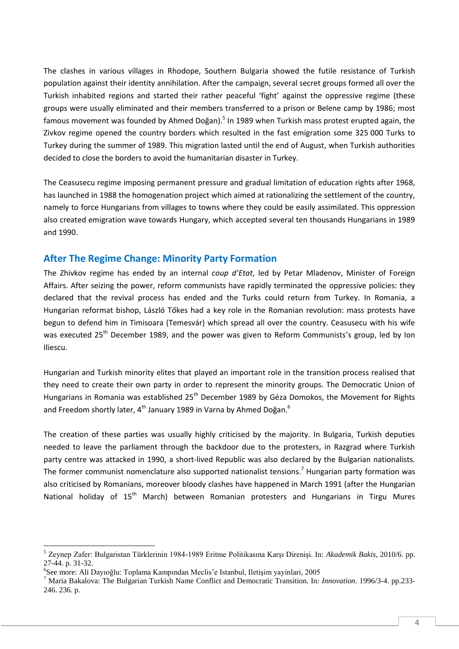The clashes in various villages in Rhodope, Southern Bulgaria showed the futile resistance of Turkish population against their identity annihilation. After the campaign, several secret groups formed all over the Turkish inhabited regions and started their rather peaceful 'fight' against the oppressive regime (these groups were usually eliminated and their members transferred to a prison or Belene camp by 1986; most famous movement was founded by Ahmed Doğan).<sup>5</sup> In 1989 when Turkish mass protest erupted again, the Zivkov regime opened the country borders which resulted in the fast emigration some 325 000 Turks to Turkey during the summer of 1989. This migration lasted until the end of August, when Turkish authorities decided to close the borders to avoid the humanitarian disaster in Turkey.

The Ceasusecu regime imposing permanent pressure and gradual limitation of education rights after 1968, has launched in 1988 the homogenation project which aimed at rationalizing the settlement of the country, namely to force Hungarians from villages to towns where they could be easily assimilated. This oppression also created emigration wave towards Hungary, which accepted several ten thousands Hungarians in 1989 and 1990.

## **After The Regime Change: Minority Party Formation**

The Zhivkov regime has ended by an internal *coup d'Etat*, led by Petar Mladenov, Minister of Foreign Affairs. After seizing the power, reform communists have rapidly terminated the oppressive policies: they declared that the revival process has ended and the Turks could return from Turkey. In Romania, a Hungarian reformat bishop, László Tőkes had a key role in the Romanian revolution: mass protests have begun to defend him in Timisoara (Temesvár) which spread all over the country. Ceasusecu with his wife was executed 25<sup>th</sup> December 1989, and the power was given to Reform Communists's group, led by Ion Iliescu.

Hungarian and Turkish minority elites that played an important role in the transition process realised that they need to create their own party in order to represent the minority groups. The Democratic Union of Hungarians in Romania was established 25<sup>th</sup> December 1989 by Géza Domokos, the Movement for Rights and Freedom shortly later,  $4<sup>th</sup>$  January 1989 in Varna by Ahmed Doğan.<sup>6</sup>

The creation of these parties was usually highly criticised by the majority. In Bulgaria, Turkish deputies needed to leave the parliament through the backdoor due to the protesters, in Razgrad where Turkish party centre was attacked in 1990, a short-lived Republic was also declared by the Bulgarian nationalists. The former communist nomenclature also supported nationalist tensions.<sup>7</sup> Hungarian party formation was also criticised by Romanians, moreover bloody clashes have happened in March 1991 (after the Hungarian National holiday of 15<sup>th</sup> March) between Romanian protesters and Hungarians in Tirgu Mures

<sup>5</sup> Zeynep Zafer: Bulgaristan Türklerinin 1984-1989 Eritme Politikasına Karşı Direnişi. In: *Akademik Bakis,* 2010/6. pp. 27-44. p. 31-32.

<sup>6</sup> See more: Ali Dayıoğlu: Toplama Kampından Meclis'e Istanbul, Iletişim yayinlari, 2005

<sup>7</sup> Maria Bakalova: The Bulgarian Turkish Name Conflict and Democratic Transition. In: *Innovation*. 1996/3-4. pp.233- 246. 236. p.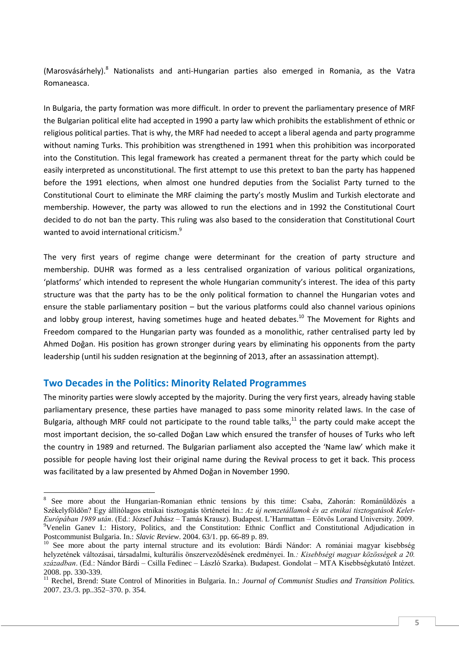(Marosvásárhely). $8$  Nationalists and anti-Hungarian parties also emerged in Romania, as the Vatra Romaneasca.

In Bulgaria, the party formation was more difficult. In order to prevent the parliamentary presence of MRF the Bulgarian political elite had accepted in 1990 a party law which prohibits the establishment of ethnic or religious political parties. That is why, the MRF had needed to accept a liberal agenda and party programme without naming Turks. This prohibition was strengthened in 1991 when this prohibition was incorporated into the Constitution. This legal framework has created a permanent threat for the party which could be easily interpreted as unconstitutional. The first attempt to use this pretext to ban the party has happened before the 1991 elections, when almost one hundred deputies from the Socialist Party turned to the Constitutional Court to eliminate the MRF claiming the party's mostly Muslim and Turkish electorate and membership. However, the party was allowed to run the elections and in 1992 the Constitutional Court decided to do not ban the party. This ruling was also based to the consideration that Constitutional Court wanted to avoid international criticism.<sup>9</sup>

The very first years of regime change were determinant for the creation of party structure and membership. DUHR was formed as a less centralised organization of various political organizations, 'platforms' which intended to represent the whole Hungarian community's interest. The idea of this party structure was that the party has to be the only political formation to channel the Hungarian votes and ensure the stable parliamentary position – but the various platforms could also channel various opinions and lobby group interest, having sometimes huge and heated debates.<sup>10</sup> The Movement for Rights and Freedom compared to the Hungarian party was founded as a monolithic, rather centralised party led by Ahmed Doğan. His position has grown stronger during years by eliminating his opponents from the party leadership (until his sudden resignation at the beginning of 2013, after an assassination attempt).

#### **Two Decades in the Politics: Minority Related Programmes**

**.** 

The minority parties were slowly accepted by the majority. During the very first years, already having stable parliamentary presence, these parties have managed to pass some minority related laws. In the case of Bulgaria, although MRF could not participate to the round table talks, $11$  the party could make accept the most important decision, the so-called Doğan Law which ensured the transfer of houses of Turks who left the country in 1989 and returned. The Bulgarian parliament also accepted the 'Name law' which make it possible for people having lost their original name during the Revival process to get it back. This process was facilitated by a law presented by Ahmed Doğan in November 1990.

<sup>&</sup>lt;sup>8</sup> See more about the Hungarian-Romanian ethnic tensions by this time: Csaba, Zahorán: Románüldözés a Székelyföldön? Egy állítólagos etnikai tisztogatás történetei In.: *Az új nemzetállamok és az etnikai tisztogatások Kelet-Európában 1989 után*. (Ed.: József Juhász – Tamás Krausz). Budapest. L'Harmattan – Eötvös Lorand University. 2009. <sup>9</sup>Venelin Ganev I.: History, Politics, and the Constitution: Ethnic Conflict and Constitutional Adjudication in Postcommunist Bulgaria. In.: *Slavic Review*. 2004. 63/1. pp. 66-89 p. 89.

<sup>&</sup>lt;sup>10</sup> See more about the party internal structure and its evolution: Bárdi Nándor: A romániai magyar kisebbség helyzetének változásai, társadalmi, kulturális önszerveződésének eredményei. In*.: Kisebbségi magyar közösségek a 20. században*. (Ed.: Nándor Bárdi – Csilla Fedinec – László Szarka). Budapest. Gondolat – MTA Kisebbségkutató Intézet. 2008. pp. 330-339.

<sup>&</sup>lt;sup>11</sup> Rechel, Brend: State Control of Minorities in Bulgaria. In.: *Journal of Communist Studies and Transition Politics*. 2007. 23./3. pp..352–370. p. 354.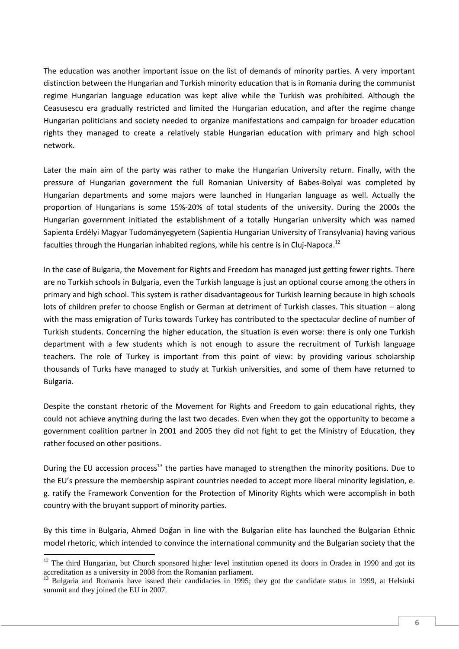The education was another important issue on the list of demands of minority parties. A very important distinction between the Hungarian and Turkish minority education that is in Romania during the communist regime Hungarian language education was kept alive while the Turkish was prohibited. Although the Ceasusescu era gradually restricted and limited the Hungarian education, and after the regime change Hungarian politicians and society needed to organize manifestations and campaign for broader education rights they managed to create a relatively stable Hungarian education with primary and high school network.

Later the main aim of the party was rather to make the Hungarian University return. Finally, with the pressure of Hungarian government the full Romanian University of Babes-Bolyai was completed by Hungarian departments and some majors were launched in Hungarian language as well. Actually the proportion of Hungarians is some 15%-20% of total students of the university. During the 2000s the Hungarian government initiated the establishment of a totally Hungarian university which was named Sapienta Erdélyi Magyar Tudományegyetem (Sapientia Hungarian University of Transylvania) having various faculties through the Hungarian inhabited regions, while his centre is in Clui-Napoca.<sup>12</sup>

In the case of Bulgaria, the Movement for Rights and Freedom has managed just getting fewer rights. There are no Turkish schools in Bulgaria, even the Turkish language is just an optional course among the others in primary and high school. This system is rather disadvantageous for Turkish learning because in high schools lots of children prefer to choose English or German at detriment of Turkish classes. This situation – along with the mass emigration of Turks towards Turkey has contributed to the spectacular decline of number of Turkish students. Concerning the higher education, the situation is even worse: there is only one Turkish department with a few students which is not enough to assure the recruitment of Turkish language teachers. The role of Turkey is important from this point of view: by providing various scholarship thousands of Turks have managed to study at Turkish universities, and some of them have returned to Bulgaria.

Despite the constant rhetoric of the Movement for Rights and Freedom to gain educational rights, they could not achieve anything during the last two decades. Even when they got the opportunity to become a government coalition partner in 2001 and 2005 they did not fight to get the Ministry of Education, they rather focused on other positions.

During the EU accession process<sup>13</sup> the parties have managed to strengthen the minority positions. Due to the EU's pressure the membership aspirant countries needed to accept more liberal minority legislation, e. g. ratify the Framework Convention for the Protection of Minority Rights which were accomplish in both country with the bruyant support of minority parties.

By this time in Bulgaria, Ahmed Doğan in line with the Bulgarian elite has launched the Bulgarian Ethnic model rhetoric, which intended to convince the international community and the Bulgarian society that the

 $12$  The third Hungarian, but Church sponsored higher level institution opened its doors in Oradea in 1990 and got its accreditation as a university in 2008 from the Romanian parliament.

<sup>13</sup> Bulgaria and Romania have issued their candidacies in 1995; they got the candidate status in 1999, at Helsinki summit and they joined the EU in 2007.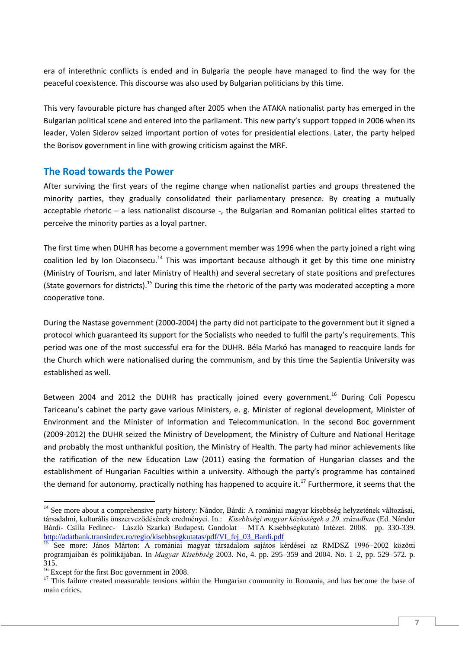era of interethnic conflicts is ended and in Bulgaria the people have managed to find the way for the peaceful coexistence. This discourse was also used by Bulgarian politicians by this time.

This very favourable picture has changed after 2005 when the ATAKA nationalist party has emerged in the Bulgarian political scene and entered into the parliament. This new party's support topped in 2006 when its leader, Volen Siderov seized important portion of votes for presidential elections. Later, the party helped the Borisov government in line with growing criticism against the MRF.

## **The Road towards the Power**

After surviving the first years of the regime change when nationalist parties and groups threatened the minority parties, they gradually consolidated their parliamentary presence. By creating a mutually acceptable rhetoric – a less nationalist discourse -, the Bulgarian and Romanian political elites started to perceive the minority parties as a loyal partner.

The first time when DUHR has become a government member was 1996 when the party joined a right wing coalition led by Ion Diaconsecu.<sup>14</sup> This was important because although it get by this time one ministry (Ministry of Tourism, and later Ministry of Health) and several secretary of state positions and prefectures (State governors for districts).<sup>15</sup> During this time the rhetoric of the party was moderated accepting a more cooperative tone.

During the Nastase government (2000-2004) the party did not participate to the government but it signed a protocol which guaranteed its support for the Socialists who needed to fulfil the party's requirements. This period was one of the most successful era for the DUHR. Béla Markó has managed to reacquire lands for the Church which were nationalised during the communism, and by this time the Sapientia University was established as well.

Between 2004 and 2012 the DUHR has practically joined every government.<sup>16</sup> During Coli Popescu Tariceanu's cabinet the party gave various Ministers, e. g. Minister of regional development, Minister of Environment and the Minister of Information and Telecommunication. In the second Boc government (2009-2012) the DUHR seized the Ministry of Development, the Ministry of Culture and National Heritage and probably the most unthankful position, the Ministry of Health. The party had minor achievements like the ratification of the new Education Law (2011) easing the formation of Hungarian classes and the establishment of Hungarian Faculties within a university. Although the party's programme has contained the demand for autonomy, practically nothing has happened to acquire it.<sup>17</sup> Furthermore, it seems that the

 $\overline{a}$ <sup>14</sup> See more about a comprehensive party history: Nándor, Bárdi: A romániai magyar kisebbség helyzetének változásai, társadalmi, kulturális önszerveződésének eredményei. In.: *Kisebbségi magyar közösségek a 20. században* (Ed. Nándor Bárdi- Csilla Fedinec- László Szarka) Budapest. Gondolat – MTA Kisebbségkutató Intézet. 2008. pp. 330-339. [http://adatbank.transindex.ro/regio/kisebbsegkutatas/pdf/VI\\_fej\\_03\\_Bardi.pdf](http://adatbank.transindex.ro/regio/kisebbsegkutatas/pdf/VI_fej_03_Bardi.pdf)

<sup>15</sup> See more: János Márton: A romániai magyar társadalom sajátos kérdései az RMDSZ 1996–2002 közötti programjaiban és politikájában. In *Magyar Kisebbség* 2003. No, 4. pp. 295–359 and 2004. No. 1–2, pp. 529–572. p. 315.

<sup>&</sup>lt;sup>16</sup> Except for the first Boc government in 2008.

 $17$  This failure created measurable tensions within the Hungarian community in Romania, and has become the base of main critics.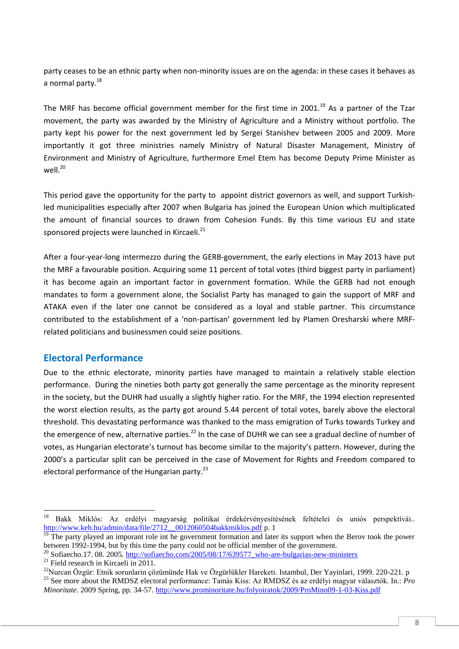party ceases to be an ethnic party when non-minority issues are on the agenda: in these cases it behaves as a normal party.<sup>18</sup>

The MRF has become official government member for the first time in 2001.<sup>19</sup> As a partner of the Tzar movement, the party was awarded by the Ministry of Agriculture and a Ministry without portfolio. The party kept his power for the next government led by Sergei Stanishev between 2005 and 2009. More importantly it got three ministries namely Ministry of Natural Disaster Management, Ministry of Environment and Ministry of Agriculture, furthermore Emel Etem has become Deputy Prime Minister as  $W$ ell $^{20}$ 

This period gave the opportunity for the party to appoint district governors as well, and support Turkishled municipalities especially after 2007 when Bulgaria has joined the European Union which multiplicated the amount of financial sources to drawn from Cohesion Funds. By this time various EU and state sponsored projects were launched in Kircaeli.<sup>21</sup>

After a four-year-long intermezzo during the GERB-government, the early elections in May 2013 have put the MRF a favourable position. Acquiring some 11 percent of total votes (third biggest party in parliament) it has become again an important factor in government formation. While the GERB had not enough mandates to form a government alone, the Socialist Party has managed to gain the support of MRF and ATAKA even if the later one cannot be considered as a loyal and stable partner. This circumstance contributed to the establishment of a 'non-partisan' government led by Plamen Oresharski where MRFrelated politicians and businessmen could seize positions.

## **Electoral Performance**

Due to the ethnic electorate, minority parties have managed to maintain a relatively stable election performance. During the nineties both party got generally the same percentage as the minority represent in the society, but the DUHR had usually a slightly higher ratio. For the MRF, the 1994 election represented the worst election results, as the party got around 5.44 percent of total votes, barely above the electoral threshold. This devastating performance was thanked to the mass emigration of Turks towards Turkey and the emergence of new, alternative parties.<sup>22</sup> In the case of DUHR we can see a gradual decline of number of votes, as Hungarian electorate's turnout has become similar to the majority's pattern. However, during the 2000's a particular split can be perceived in the case of Movement for Rights and Freedom compared to electoral performance of the Hungarian party. $^{23}$ 

<sup>18</sup> <sup>18</sup> Bakk Miklós: Az erdélyi magyarság politikai érdekérvényesítésének feltételei és uniós perspektívái.. [http://www.keh.hu/admin/data/file/2712\\_\\_0012060504bakkmiklos.pdf](http://www.keh.hu/admin/data/file/2712__0012060504bakkmiklos.pdf) p. 1

 $\frac{19}{19}$  The party played an imporant role int he government formation and later its support when the Berov took the power between 1992-1994, but by this time the party could not be official member of the government.

<sup>&</sup>lt;sup>20</sup> Sofiaecho.17. 08. 2005. [http://sofiaecho.com/2005/08/17/639577\\_who-are-bulgarias-new-ministers](http://sofiaecho.com/2005/08/17/639577_who-are-bulgarias-new-ministers)

<sup>&</sup>lt;sup>21</sup> Field research in Kircaeli in  $2011$ .

<sup>22</sup>Nurcan Özgür: Etnik sorunlarin çözümünde Hak ve Özgürlükler Hareketi*.* Istambul, Der Yayinlari, 1999. 220-221. p <sup>23</sup> See more about the RMDSZ electoral performance: Tamás Kiss: Az RMDSZ és az erdélyi magyar választók. In.: *Pro Minoritate*. 2009 Spring, pp. 34-57.<http://www.prominoritate.hu/folyoiratok/2009/ProMino09-1-03-Kiss.pdf>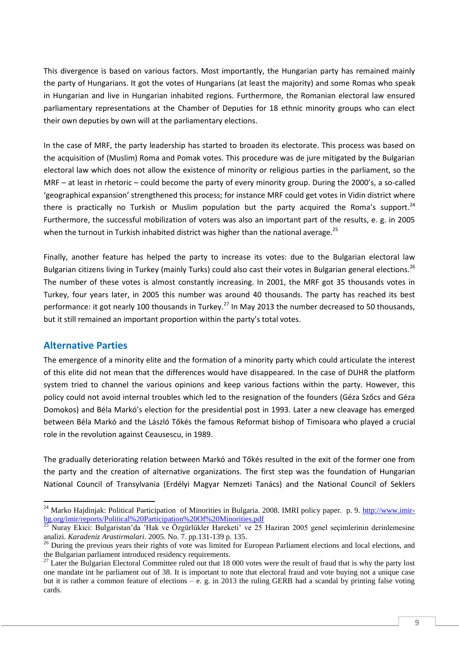This divergence is based on various factors. Most importantly, the Hungarian party has remained mainly the party of Hungarians. It got the votes of Hungarians (at least the majority) and some Romas who speak in Hungarian and live in Hungarian inhabited regions. Furthermore, the Romanian electoral law ensured parliamentary representations at the Chamber of Deputies for 18 ethnic minority groups who can elect their own deputies by own will at the parliamentary elections.

In the case of MRF, the party leadership has started to broaden its electorate. This process was based on the acquisition of (Muslim) Roma and Pomak votes. This procedure was de jure mitigated by the Bulgarian electoral law which does not allow the existence of minority or religious parties in the parliament, so the MRF – at least in rhetoric – could become the party of every minority group. During the 2000's, a so-called 'geographical expansion' strengthened this process; for instance MRF could get votes in Vidin district where there is practically no Turkish or Muslim population but the party acquired the Roma's support.<sup>24</sup> Furthermore, the successful mobilization of voters was also an important part of the results, e. g. in 2005 when the turnout in Turkish inhabited district was higher than the national average.<sup>25</sup>

Finally, another feature has helped the party to increase its votes: due to the Bulgarian electoral law Bulgarian citizens living in Turkey (mainly Turks) could also cast their votes in Bulgarian general elections.<sup>26</sup> The number of these votes is almost constantly increasing. In 2001, the MRF got 35 thousands votes in Turkey, four years later, in 2005 this number was around 40 thousands. The party has reached its best performance: it got nearly 100 thousands in Turkey.<sup>27</sup> In May 2013 the number decreased to 50 thousands, but it still remained an important proportion within the party's total votes.

## **Alternative Parties**

 $\overline{a}$ 

The emergence of a minority elite and the formation of a minority party which could articulate the interest of this elite did not mean that the differences would have disappeared. In the case of DUHR the platform system tried to channel the various opinions and keep various factions within the party. However, this policy could not avoid internal troubles which led to the resignation of the founders (Géza Szőcs and Géza Domokos) and Béla Markó's election for the presidential post in 1993. Later a new cleavage has emerged between Béla Markó and the László Tőkés the famous Reformat bishop of Timisoara who played a crucial role in the revolution against Ceausescu, in 1989.

The gradually deteriorating relation between Markó and Tőkés resulted in the exit of the former one from the party and the creation of alternative organizations. The first step was the foundation of Hungarian National Council of Transylvania (Erdélyi Magyar Nemzeti Tanács) and the National Council of Seklers

<sup>&</sup>lt;sup>24</sup> Marko Hajdinjak: Political Participation of Minorities in Bulgaria. 2008. IMRI policy paper. p. 9. [http://www.imir](http://www.imir-bg.org/imir/reports/Political%20Participation%20Of%20Minorities.pdf)[bg.org/imir/reports/Political%20Participation%20Of%20Minorities.pdf](http://www.imir-bg.org/imir/reports/Political%20Participation%20Of%20Minorities.pdf)

<sup>25</sup> Nuray Ekici: Bulgaristan'da 'Hak ve Özgürlükler Hareketi' ve 25 Haziran 2005 genel seçimlerinin derinlemesine analizi. *Karadeniz Arastirmalari*. 2005. No. 7. pp.131-139 p. 135.

<sup>&</sup>lt;sup>26</sup> During the previous years their rights of vote was limited for European Parliament elections and local elections, and the Bulgarian parliament introduced residency requirements.

 $27$  Later the Bulgarian Electoral Committee ruled out that 18 000 votes were the result of fraud that is why the party lost one mandate int he parliament out of 38. It is important to note that electoral fraud and vote buying not a unique case but it is rather a common feature of elections – e. g. in 2013 the ruling GERB had a scandal by printing false voting cards.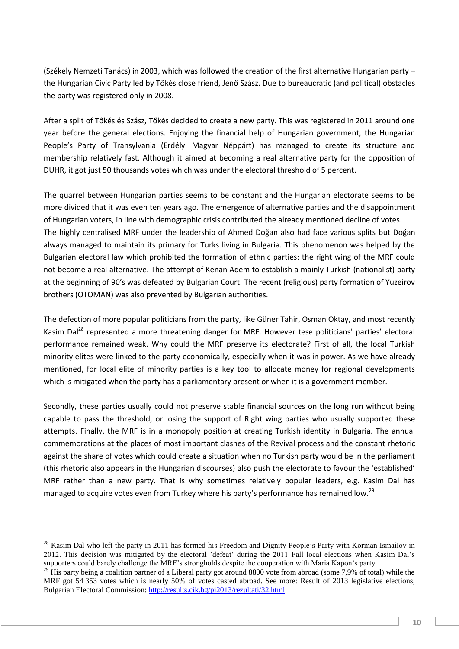(Székely Nemzeti Tanács) in 2003, which was followed the creation of the first alternative Hungarian party – the Hungarian Civic Party led by Tőkés close friend, Jenő Szász. Due to bureaucratic (and political) obstacles the party was registered only in 2008.

After a split of Tőkés és Szász, Tőkés decided to create a new party. This was registered in 2011 around one year before the general elections. Enjoying the financial help of Hungarian government, the Hungarian People's Party of Transylvania (Erdélyi Magyar Néppárt) has managed to create its structure and membership relatively fast. Although it aimed at becoming a real alternative party for the opposition of DUHR, it got just 50 thousands votes which was under the electoral threshold of 5 percent.

The quarrel between Hungarian parties seems to be constant and the Hungarian electorate seems to be more divided that it was even ten years ago. The emergence of alternative parties and the disappointment of Hungarian voters, in line with demographic crisis contributed the already mentioned decline of votes. The highly centralised MRF under the leadership of Ahmed Doğan also had face various splits but Doğan always managed to maintain its primary for Turks living in Bulgaria. This phenomenon was helped by the Bulgarian electoral law which prohibited the formation of ethnic parties: the right wing of the MRF could not become a real alternative. The attempt of Kenan Adem to establish a mainly Turkish (nationalist) party at the beginning of 90's was defeated by Bulgarian Court. The recent (religious) party formation of Yuzeirov brothers (OTOMAN) was also prevented by Bulgarian authorities.

The defection of more popular politicians from the party, like Güner Tahir, Osman Oktay, and most recently Kasim Dal<sup>28</sup> represented a more threatening danger for MRF. However tese politicians' parties' electoral performance remained weak. Why could the MRF preserve its electorate? First of all, the local Turkish minority elites were linked to the party economically, especially when it was in power. As we have already mentioned, for local elite of minority parties is a key tool to allocate money for regional developments which is mitigated when the party has a parliamentary present or when it is a government member.

Secondly, these parties usually could not preserve stable financial sources on the long run without being capable to pass the threshold, or losing the support of Right wing parties who usually supported these attempts. Finally, the MRF is in a monopoly position at creating Turkish identity in Bulgaria. The annual commemorations at the places of most important clashes of the Revival process and the constant rhetoric against the share of votes which could create a situation when no Turkish party would be in the parliament (this rhetoric also appears in the Hungarian discourses) also push the electorate to favour the 'established' MRF rather than a new party. That is why sometimes relatively popular leaders, e.g. Kasim Dal has managed to acquire votes even from Turkey where his party's performance has remained low.<sup>29</sup>

1

 $^{28}$  Kasim Dal who left the party in 2011 has formed his Freedom and Dignity People's Party with Korman Ismailov in 2012. This decision was mitigated by the electoral 'defeat' during the 2011 Fall local elections when Kasim Dal's supporters could barely challenge the MRF's strongholds despite the cooperation with Maria Kapon's party.

<sup>&</sup>lt;sup>29</sup> His party being a coalition partner of a Liberal party got around 8800 vote from abroad (some 7,9% of total) while the MRF got 54 353 votes which is nearly 50% of votes casted abroad. See more: Result of 2013 legislative elections, Bulgarian Electoral Commission:<http://results.cik.bg/pi2013/rezultati/32.html>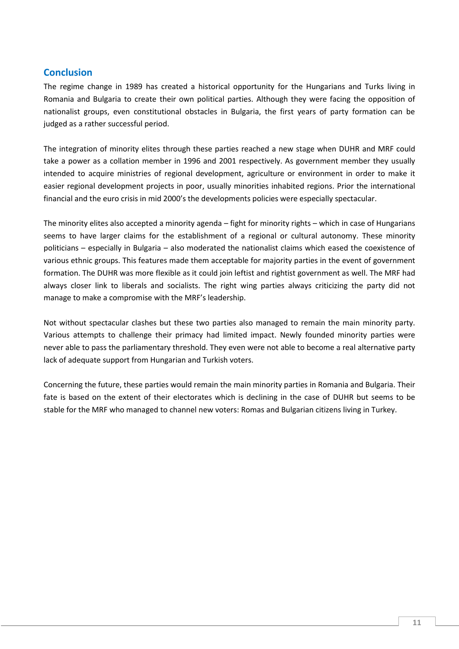# **Conclusion**

The regime change in 1989 has created a historical opportunity for the Hungarians and Turks living in Romania and Bulgaria to create their own political parties. Although they were facing the opposition of nationalist groups, even constitutional obstacles in Bulgaria, the first years of party formation can be judged as a rather successful period.

The integration of minority elites through these parties reached a new stage when DUHR and MRF could take a power as a collation member in 1996 and 2001 respectively. As government member they usually intended to acquire ministries of regional development, agriculture or environment in order to make it easier regional development projects in poor, usually minorities inhabited regions. Prior the international financial and the euro crisis in mid 2000's the developments policies were especially spectacular.

The minority elites also accepted a minority agenda – fight for minority rights – which in case of Hungarians seems to have larger claims for the establishment of a regional or cultural autonomy. These minority politicians – especially in Bulgaria – also moderated the nationalist claims which eased the coexistence of various ethnic groups. This features made them acceptable for majority parties in the event of government formation. The DUHR was more flexible as it could join leftist and rightist government as well. The MRF had always closer link to liberals and socialists. The right wing parties always criticizing the party did not manage to make a compromise with the MRF's leadership.

Not without spectacular clashes but these two parties also managed to remain the main minority party. Various attempts to challenge their primacy had limited impact. Newly founded minority parties were never able to pass the parliamentary threshold. They even were not able to become a real alternative party lack of adequate support from Hungarian and Turkish voters.

Concerning the future, these parties would remain the main minority parties in Romania and Bulgaria. Their fate is based on the extent of their electorates which is declining in the case of DUHR but seems to be stable for the MRF who managed to channel new voters: Romas and Bulgarian citizens living in Turkey.